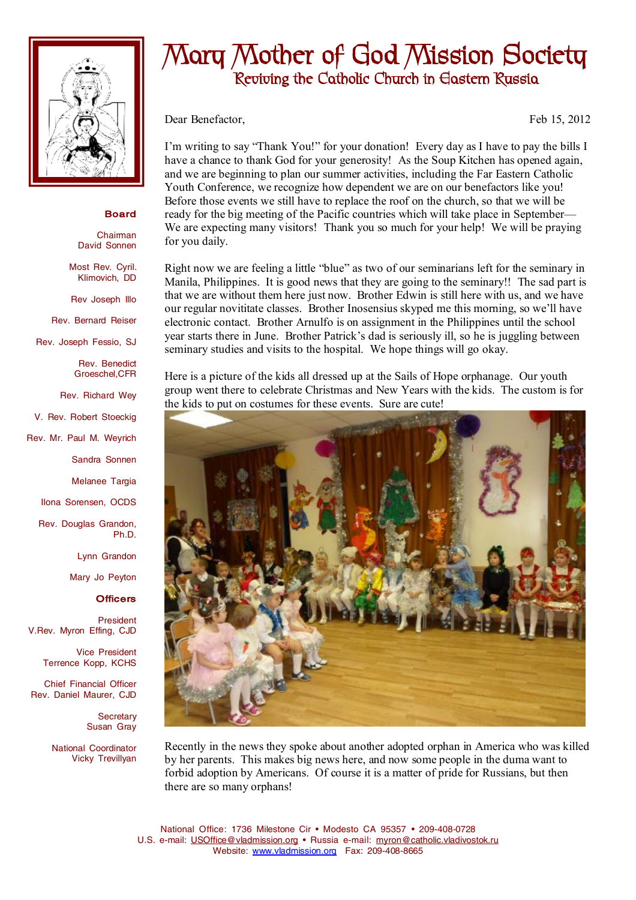

## **Board**

Chairman David Sonnen

Most Rev. Cyril. Klimovich, DD

Rev Joseph Illo

Rev. Bernard Reiser

Rev. Joseph Fessio, SJ

Rev. Benedict Groeschel,CFR

Rev. Richard Wey

V. Rev. Robert Stoeckig

Rev. Mr. Paul M. Weyrich

Sandra Sonnen

Melanee Targia

Ilona Sorensen, OCDS

Rev. Douglas Grandon, Ph.D.

Lynn Grandon

Mary Jo Peyton

## **Officers**

President V.Rev. Myron Effing, CJD

> Vice President Terrence Kopp, KCHS

Chief Financial Officer Rev. Daniel Maurer, CJD

> **Secretary** Susan Gray

National Coordinator Vicky Trevillyan

## **Mary Mother of God Mission Society Reviving the Catholic Church in Eastern Russia**

Dear Benefactor, Feb 15, 2012

I'm writing to say "Thank You!" for your donation! Every day as I have to pay the bills I have a chance to thank God for your generosity! As the Soup Kitchen has opened again, and we are beginning to plan our summer activities, including the Far Eastern Catholic Youth Conference, we recognize how dependent we are on our benefactors like you! Before those events we still have to replace the roof on the church, so that we will be ready for the big meeting of the Pacific countries which will take place in September— We are expecting many visitors! Thank you so much for your help! We will be praying for you daily.

Right now we are feeling a little "blue" as two of our seminarians left for the seminary in Manila, Philippines. It is good news that they are going to the seminary!! The sad part is that we are without them here just now. Brother Edwin is still here with us, and we have our regular novititate classes. Brother Inosensius skyped me this morning, so we'll have electronic contact. Brother Arnulfo is on assignment in the Philippines until the school year starts there in June. Brother Patrick's dad is seriously ill, so he is juggling between seminary studies and visits to the hospital. We hope things will go okay.

Here is a picture of the kids all dressed up at the Sails of Hope orphanage. Our youth group went there to celebrate Christmas and New Years with the kids. The custom is for the kids to put on costumes for these events. Sure are cute!



Recently in the news they spoke about another adopted orphan in America who was killed by her parents. This makes big news here, and now some people in the duma want to forbid adoption by Americans. Of course it is a matter of pride for Russians, but then there are so many orphans!